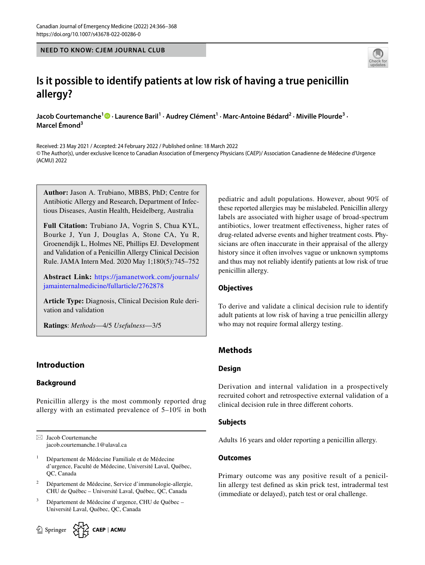**NEED TO KNOW: CJEM JOURNAL CLUB**



# **Is it possible to identify patients at low risk of having a true penicillin allergy?**

Jacob Courtemanche<sup>1</sup> <sup>1</sup> [·](http://orcid.org/0000-0002-7850-6744) Laurence Baril<sup>1</sup> · Audrey Clément<sup>1</sup> · Marc-Antoine Bédard<sup>2</sup> · Miville Plourde<sup>3</sup> · **Marcel Émond3**

Received: 23 May 2021 / Accepted: 24 February 2022 / Published online: 18 March 2022 © The Author(s), under exclusive licence to Canadian Association of Emergency Physicians (CAEP)/ Association Canadienne de Médecine d'Urgence (ACMU) 2022

**Author:** Jason A. Trubiano, MBBS, PhD; Centre for Antibiotic Allergy and Research, Department of Infectious Diseases, Austin Health, Heidelberg, Australia

**Full Citation:** Trubiano JA, Vogrin S, Chua KYL, Bourke J, Yun J, Douglas A, Stone CA, Yu R, Groenendijk L, Holmes NE, Phillips EJ. Development and Validation of a Penicillin Allergy Clinical Decision Rule. JAMA Intern Med. 2020 May 1;180(5):745–752

**Abstract Link:** [https://jamanetwork.com/journals/](https://jamanetwork.com/journals/jamainternalmedicine/fullarticle/2762878) [jamainternalmedicine/fullarticle/2762878](https://jamanetwork.com/journals/jamainternalmedicine/fullarticle/2762878)

**Article Type:** Diagnosis, Clinical Decision Rule deri‑ vation and validation

**Ratings**: *Methods*—4/5 *Usefulness*—3/5

# **Introduction**

# **Background**

Penicillin allergy is the most commonly reported drug allergy with an estimated prevalence of 5–10% in both

 $\boxtimes$  Jacob Courtemanche jacob.courtemanche.1@ulaval.ca

- <sup>1</sup> Département de Médecine Familiale et de Médecine d'urgence, Faculté de Médecine, Université Laval, Québec, QC, Canada
- <sup>2</sup> Département de Médecine, Service d'immunologie-allergie, CHU de Québec – Université Laval, Québec, QC, Canada
- <sup>3</sup> Département de Médecine d'urgence, CHU de Québec Université Laval, Québec, QC, Canada

 $\circled{2}$  Springer  $\left\{\bigvee_{i=1}^{N} \right\}$  CAEP | ACMI

pediatric and adult populations. However, about 90% of these reported allergies may be mislabeled. Penicillin allergy labels are associated with higher usage of broad-spectrum antibiotics, lower treatment efectiveness, higher rates of drug-related adverse events and higher treatment costs. Physicians are often inaccurate in their appraisal of the allergy history since it often involves vague or unknown symptoms and thus may not reliably identify patients at low risk of true penicillin allergy.

# **Objectives**

To derive and validate a clinical decision rule to identify adult patients at low risk of having a true penicillin allergy who may not require formal allergy testing.

# **Methods**

# **Design**

Derivation and internal validation in a prospectively recruited cohort and retrospective external validation of a clinical decision rule in three diferent cohorts.

# **Subjects**

Adults 16 years and older reporting a penicillin allergy.

#### **Outcomes**

Primary outcome was any positive result of a penicil– lin allergy test defned as skin prick test, intradermal test (immediate or delayed), patch test or oral challenge.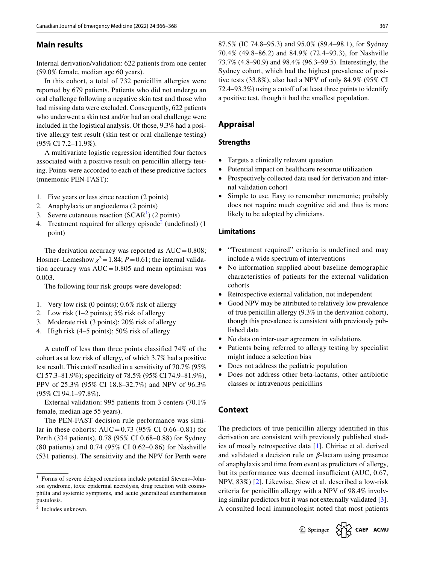# **Main results**

Internal derivation/validation: 622 patients from one center (59.0% female, median age 60 years).

In this cohort, a total of 732 penicillin allergies were reported by 679 patients. Patients who did not undergo an oral challenge following a negative skin test and those who had missing data were excluded. Consequently, 622 patients who underwent a skin test and/or had an oral challenge were included in the logistical analysis. Of those, 9.3% had a positive allergy test result (skin test or oral challenge testing) (95% CI 7.2–11.9%).

A multivariate logistic regression identifed four factors associated with a positive result on penicillin allergy testing. Points were accorded to each of these predictive factors (mnemonic PEN-FAST):

- 1. Five years or less since reaction (2 points)
- 2. Anaphylaxis or angioedema (2 points)
- 3. Severe cutaneous reaction  $(SCAR<sup>1</sup>)$  $(SCAR<sup>1</sup>)$  $(SCAR<sup>1</sup>)$  (2 points)
- 4. Treatment required for allergy episode<sup>[2](#page-1-1)</sup> (undefined)  $(1)$ point)

The derivation accuracy was reported as  $AUC = 0.808$ ; Hosmer–Lemeshow  $\chi^2$  = 1.84; *P* = 0.61; the internal valida– tion accuracy was  $AUC = 0.805$  and mean optimism was 0.003.

The following four risk groups were developed:

- 1. Very low risk (0 points); 0.6% risk of allergy
- 2. Low risk (1–2 points); 5% risk of allergy
- 3. Moderate risk (3 points); 20% risk of allergy
- 4. High risk (4–5 points); 50% risk of allergy

A cutoff of less than three points classified 74% of the cohort as at low risk of allergy, of which 3.7% had a positive test result. This cutoff resulted in a sensitivity of 70.7% (95%) CI 57.3–81.9%); specifcity of 78.5% (95% CI 74.9–81.9%), PPV of 25.3% (95% CI 18.8–32.7%) and NPV of 96.3% (95% CI 94.1–97.8%).

External validation: 995 patients from 3 centers (70.1% female, median age 55 years).

The PEN-FAST decision rule performance was similar in these cohorts:  $AUC = 0.73$  (95% CI 0.66–0.81) for Perth (334 patients), 0.78 (95% CI 0.68–0.88) for Sydney (80 patients) and 0.74 (95% CI 0.62–0.86) for Nashville (531 patients). The sensitivity and the NPV for Perth were 87.5% (IC 74.8–95.3) and 95.0% (89.4–98.1), for Sydney 70.4% (49.8–86.2) and 84.9% (72.4–93.3), for Nashville 73.7% (4.8–90.9) and 98.4% (96.3–99.5). Interestingly, the Sydney cohort, which had the highest prevalence of positive tests (33.8%), also had a NPV of only 84.9% (95% CI 72.4–93.3%) using a cutoff of at least three points to identify a positive test, though it had the smallest population.

# **Appraisal**

#### **Strengths**

- Targets a clinically relevant question
- Potential impact on healthcare resource utilization
- Prospectively collected data used for derivation and internal validation cohort
- Simple to use. Easy to remember mnemonic; probably does not require much cognitive aid and thus is more likely to be adopted by clinicians.

#### **Limitations**

- "Treatment required" criteria is undefined and may include a wide spectrum of interventions
- No information supplied about baseline demographic characteristics of patients for the external validation cohorts
- Retrospective external validation, not independent
- Good NPV may be attributed to relatively low prevalence of true penicillin allergy (9.3% in the derivation cohort), though this prevalence is consistent with previously pub‑ lished data
- No data on inter-user agreement in validations
- Patients being referred to allergy testing by specialist might induce a selection bias
- Does not address the pediatric population
- Does not address other beta-lactams, other antibiotic classes or intravenous penicillins

# **Context**

The predictors of true penicillin allergy identifed in this derivation are consistent with previously published studies of mostly retrospective data [\[1\]](#page-2-0). Chiriac et al. derived and validated a decision rule on *β*-lactam using presence of anaphylaxis and time from event as predictors of allergy, but its performance was deemed insufficient (AUC, 0.67, NPV, 83%) [\[2](#page-2-1)]. Likewise, Siew et al. described a low-risk criteria for penicillin allergy with a NPV of 98.4% involving similar predictors but it was not externally validated [\[3](#page-2-2)]. A consulted local immunologist noted that most patients



<span id="page-1-0"></span><sup>&</sup>lt;sup>1</sup> Forms of severe delayed reactions include potential Stevens-Johnson syndrome, toxic epidermal necrolysis, drug reaction with eosinophilia and systemic symptoms, and acute generalized exanthematous pustulosis.

<span id="page-1-1"></span>Includes unknown.